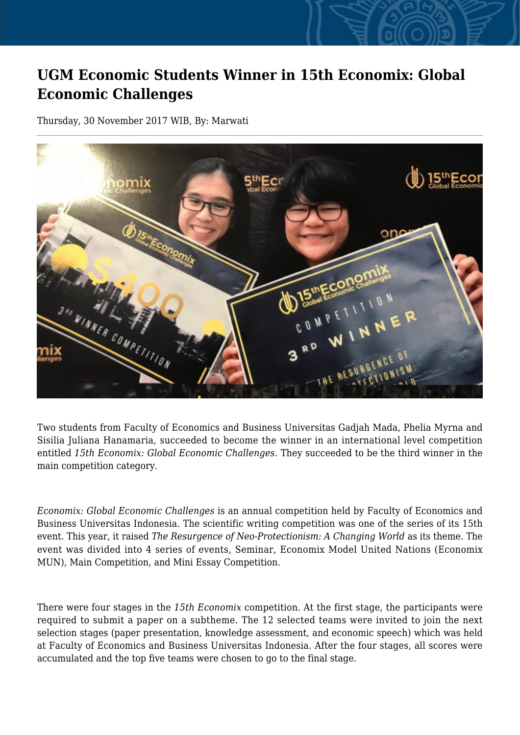## **UGM Economic Students Winner in 15th Economix: Global Economic Challenges**

Thursday, 30 November 2017 WIB, By: Marwati



Two students from Faculty of Economics and Business Universitas Gadjah Mada, Phelia Myrna and Sisilia Juliana Hanamaria, succeeded to become the winner in an international level competition entitled *15th Economix: Global Economic Challenges*. They succeeded to be the third winner in the main competition category.

*Economix: Global Economic Challenges* is an annual competition held by Faculty of Economics and Business Universitas Indonesia. The scientific writing competition was one of the series of its 15th event. This year, it raised *The Resurgence of Neo-Protectionism: A Changing World* as its theme. The event was divided into 4 series of events, Seminar, Economix Model United Nations (Economix MUN), Main Competition, and Mini Essay Competition.

There were four stages in the *15th Economix* competition. At the first stage, the participants were required to submit a paper on a subtheme. The 12 selected teams were invited to join the next selection stages (paper presentation, knowledge assessment, and economic speech) which was held at Faculty of Economics and Business Universitas Indonesia. After the four stages, all scores were accumulated and the top five teams were chosen to go to the final stage.